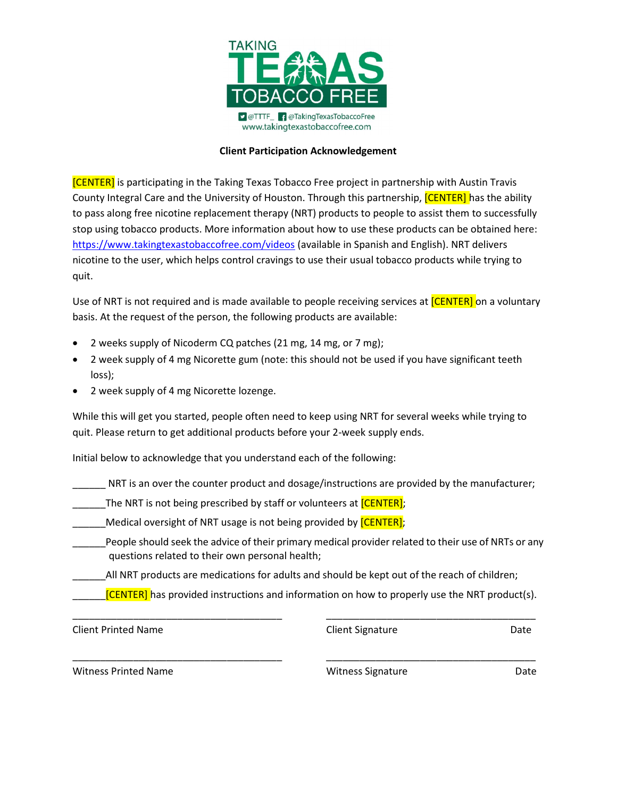

## Client Participation Acknowledgement

**[CENTER]** is participating in the Taking Texas Tobacco Free project in partnership with Austin Travis County Integral Care and the University of Houston. Through this partnership, *[CENTER]* has the ability to pass along free nicotine replacement therapy (NRT) products to people to assist them to successfully stop using tobacco products. More information about how to use these products can be obtained here: https://www.takingtexastobaccofree.com/videos (available in Spanish and English). NRT delivers nicotine to the user, which helps control cravings to use their usual tobacco products while trying to quit.

Use of NRT is not required and is made available to people receiving services at **[CENTER]** on a voluntary basis. At the request of the person, the following products are available:

- 2 weeks supply of Nicoderm CQ patches (21 mg, 14 mg, or 7 mg);
- 2 week supply of 4 mg Nicorette gum (note: this should not be used if you have significant teeth loss);
- 2 week supply of 4 mg Nicorette lozenge.

While this will get you started, people often need to keep using NRT for several weeks while trying to quit. Please return to get additional products before your 2-week supply ends.

Initial below to acknowledge that you understand each of the following:

NRT is an over the counter product and dosage/instructions are provided by the manufacturer;

- \_\_\_\_\_The NRT is not being prescribed by staff or volunteers at [CENTER];
- Medical oversight of NRT usage is not being provided by **[CENTER]**;
- People should seek the advice of their primary medical provider related to their use of NRTs or any questions related to their own personal health;
	- \_\_\_\_\_\_All NRT products are medications for adults and should be kept out of the reach of children;
		- $[CENTER]$  has provided instructions and information on how to properly use the NRT product(s).

\_\_\_\_\_\_\_\_\_\_\_\_\_\_\_\_\_\_\_\_\_\_\_\_\_\_\_\_\_\_\_\_\_\_\_\_\_\_ \_\_\_\_\_\_\_\_\_\_\_\_\_\_\_\_\_\_\_\_\_\_\_\_\_\_\_\_\_\_\_\_\_\_\_\_\_\_

\_\_\_\_\_\_\_\_\_\_\_\_\_\_\_\_\_\_\_\_\_\_\_\_\_\_\_\_\_\_\_\_\_\_\_\_\_\_ \_\_\_\_\_\_\_\_\_\_\_\_\_\_\_\_\_\_\_\_\_\_\_\_\_\_\_\_\_\_\_\_\_\_\_\_\_\_

Client Printed Name Client Signature Date

Witness Printed Name **Name School Communist Constructs** Witness Signature **Date** Date